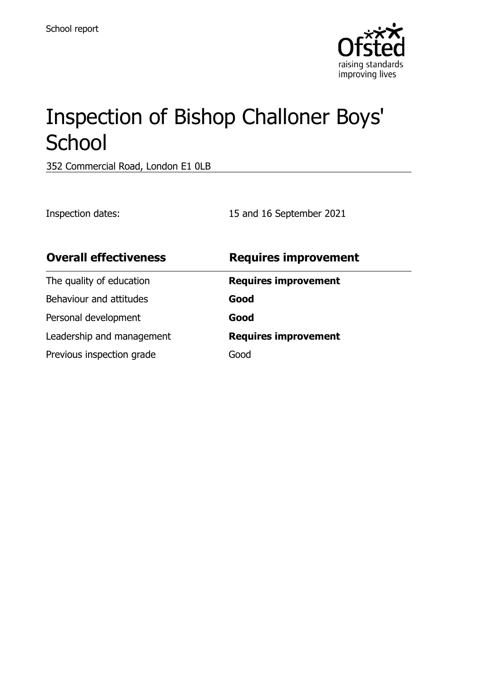

# Inspection of Bishop Challoner Boys' **School**

352 Commercial Road, London E1 0LB

Inspection dates: 15 and 16 September 2021

| <b>Overall effectiveness</b> | <b>Requires improvement</b> |
|------------------------------|-----------------------------|
| The quality of education     | <b>Requires improvement</b> |
| Behaviour and attitudes      | Good                        |
| Personal development         | Good                        |
| Leadership and management    | <b>Requires improvement</b> |
| Previous inspection grade    | Good                        |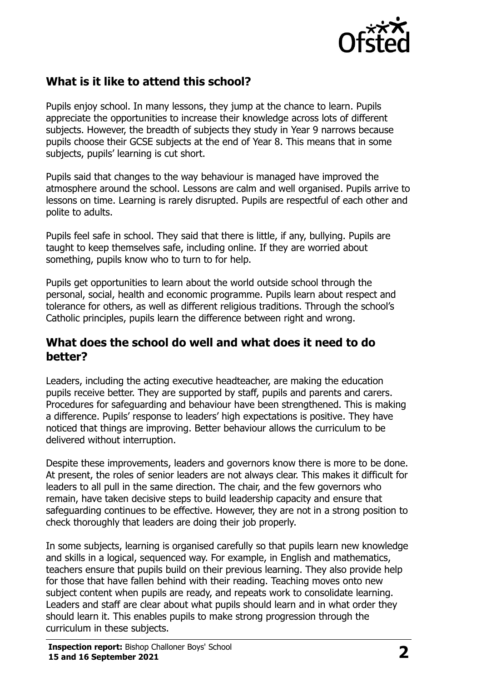

### **What is it like to attend this school?**

Pupils enjoy school. In many lessons, they jump at the chance to learn. Pupils appreciate the opportunities to increase their knowledge across lots of different subjects. However, the breadth of subjects they study in Year 9 narrows because pupils choose their GCSE subjects at the end of Year 8. This means that in some subjects, pupils' learning is cut short.

Pupils said that changes to the way behaviour is managed have improved the atmosphere around the school. Lessons are calm and well organised. Pupils arrive to lessons on time. Learning is rarely disrupted. Pupils are respectful of each other and polite to adults.

Pupils feel safe in school. They said that there is little, if any, bullying. Pupils are taught to keep themselves safe, including online. If they are worried about something, pupils know who to turn to for help.

Pupils get opportunities to learn about the world outside school through the personal, social, health and economic programme. Pupils learn about respect and tolerance for others, as well as different religious traditions. Through the school's Catholic principles, pupils learn the difference between right and wrong.

#### **What does the school do well and what does it need to do better?**

Leaders, including the acting executive headteacher, are making the education pupils receive better. They are supported by staff, pupils and parents and carers. Procedures for safeguarding and behaviour have been strengthened. This is making a difference. Pupils' response to leaders' high expectations is positive. They have noticed that things are improving. Better behaviour allows the curriculum to be delivered without interruption.

Despite these improvements, leaders and governors know there is more to be done. At present, the roles of senior leaders are not always clear. This makes it difficult for leaders to all pull in the same direction. The chair, and the few governors who remain, have taken decisive steps to build leadership capacity and ensure that safeguarding continues to be effective. However, they are not in a strong position to check thoroughly that leaders are doing their job properly.

In some subjects, learning is organised carefully so that pupils learn new knowledge and skills in a logical, sequenced way. For example, in English and mathematics, teachers ensure that pupils build on their previous learning. They also provide help for those that have fallen behind with their reading. Teaching moves onto new subject content when pupils are ready, and repeats work to consolidate learning. Leaders and staff are clear about what pupils should learn and in what order they should learn it. This enables pupils to make strong progression through the curriculum in these subjects.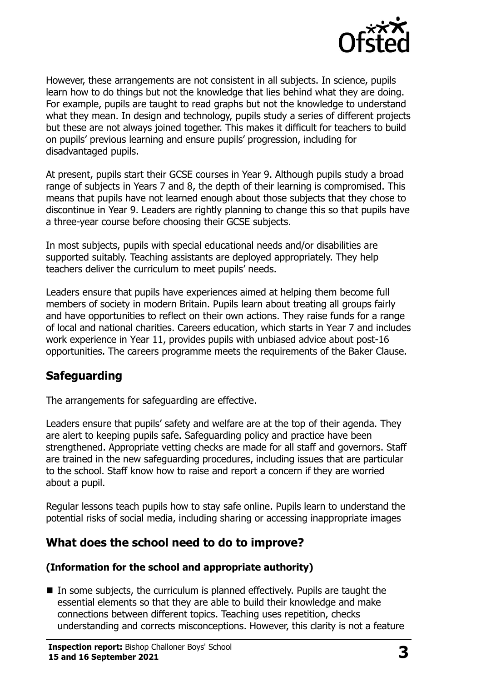

However, these arrangements are not consistent in all subjects. In science, pupils learn how to do things but not the knowledge that lies behind what they are doing. For example, pupils are taught to read graphs but not the knowledge to understand what they mean. In design and technology, pupils study a series of different projects but these are not always joined together. This makes it difficult for teachers to build on pupils' previous learning and ensure pupils' progression, including for disadvantaged pupils.

At present, pupils start their GCSE courses in Year 9. Although pupils study a broad range of subjects in Years 7 and 8, the depth of their learning is compromised. This means that pupils have not learned enough about those subjects that they chose to discontinue in Year 9. Leaders are rightly planning to change this so that pupils have a three-year course before choosing their GCSE subjects.

In most subjects, pupils with special educational needs and/or disabilities are supported suitably. Teaching assistants are deployed appropriately. They help teachers deliver the curriculum to meet pupils' needs.

Leaders ensure that pupils have experiences aimed at helping them become full members of society in modern Britain. Pupils learn about treating all groups fairly and have opportunities to reflect on their own actions. They raise funds for a range of local and national charities. Careers education, which starts in Year 7 and includes work experience in Year 11, provides pupils with unbiased advice about post-16 opportunities. The careers programme meets the requirements of the Baker Clause.

#### **Safeguarding**

The arrangements for safeguarding are effective.

Leaders ensure that pupils' safety and welfare are at the top of their agenda. They are alert to keeping pupils safe. Safeguarding policy and practice have been strengthened. Appropriate vetting checks are made for all staff and governors. Staff are trained in the new safeguarding procedures, including issues that are particular to the school. Staff know how to raise and report a concern if they are worried about a pupil.

Regular lessons teach pupils how to stay safe online. Pupils learn to understand the potential risks of social media, including sharing or accessing inappropriate images

#### **What does the school need to do to improve?**

#### **(Information for the school and appropriate authority)**

In some subjects, the curriculum is planned effectively. Pupils are taught the essential elements so that they are able to build their knowledge and make connections between different topics. Teaching uses repetition, checks understanding and corrects misconceptions. However, this clarity is not a feature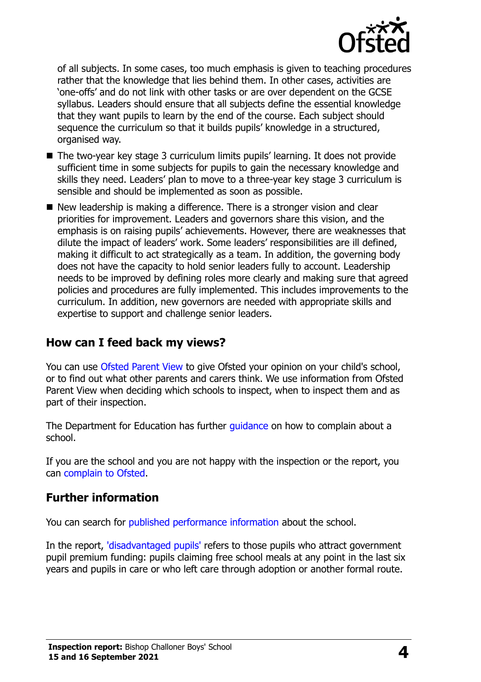

of all subjects. In some cases, too much emphasis is given to teaching procedures rather that the knowledge that lies behind them. In other cases, activities are 'one-offs' and do not link with other tasks or are over dependent on the GCSE syllabus. Leaders should ensure that all subjects define the essential knowledge that they want pupils to learn by the end of the course. Each subject should sequence the curriculum so that it builds pupils' knowledge in a structured, organised way.

- The two-year key stage 3 curriculum limits pupils' learning. It does not provide sufficient time in some subjects for pupils to gain the necessary knowledge and skills they need. Leaders' plan to move to a three-year key stage 3 curriculum is sensible and should be implemented as soon as possible.
- New leadership is making a difference. There is a stronger vision and clear priorities for improvement. Leaders and governors share this vision, and the emphasis is on raising pupils' achievements. However, there are weaknesses that dilute the impact of leaders' work. Some leaders' responsibilities are ill defined, making it difficult to act strategically as a team. In addition, the governing body does not have the capacity to hold senior leaders fully to account. Leadership needs to be improved by defining roles more clearly and making sure that agreed policies and procedures are fully implemented. This includes improvements to the curriculum. In addition, new governors are needed with appropriate skills and expertise to support and challenge senior leaders.

#### **How can I feed back my views?**

You can use [Ofsted Parent View](http://parentview.ofsted.gov.uk/) to give Ofsted your opinion on your child's school, or to find out what other parents and carers think. We use information from Ofsted Parent View when deciding which schools to inspect, when to inspect them and as part of their inspection.

The Department for Education has further quidance on how to complain about a school.

If you are the school and you are not happy with the inspection or the report, you can [complain to Ofsted.](http://www.gov.uk/complain-ofsted-report)

#### **Further information**

You can search for [published performance information](http://www.compare-school-performance.service.gov.uk/) about the school.

In the report, ['disadvantaged pupils'](http://www.gov.uk/guidance/pupil-premium-information-for-schools-and-alternative-provision-settings) refers to those pupils who attract government pupil premium funding: pupils claiming free school meals at any point in the last six years and pupils in care or who left care through adoption or another formal route.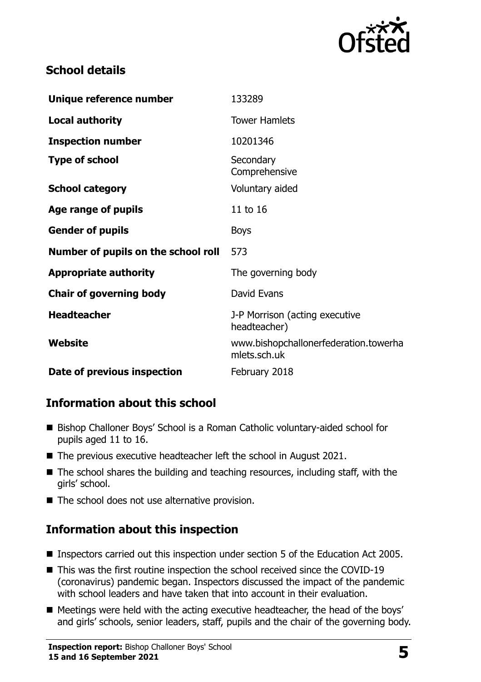

### **School details**

| Unique reference number             | 133289                                                |
|-------------------------------------|-------------------------------------------------------|
| <b>Local authority</b>              | <b>Tower Hamlets</b>                                  |
| <b>Inspection number</b>            | 10201346                                              |
| <b>Type of school</b>               | Secondary<br>Comprehensive                            |
| <b>School category</b>              | Voluntary aided                                       |
| Age range of pupils                 | 11 to 16                                              |
| <b>Gender of pupils</b>             | <b>Boys</b>                                           |
| Number of pupils on the school roll | 573                                                   |
| <b>Appropriate authority</b>        | The governing body                                    |
| <b>Chair of governing body</b>      | David Evans                                           |
| <b>Headteacher</b>                  | J-P Morrison (acting executive<br>headteacher)        |
| <b>Website</b>                      | www.bishopchallonerfederation.towerha<br>mlets.sch.uk |
| Date of previous inspection         | February 2018                                         |

# **Information about this school**

- Bishop Challoner Boys' School is a Roman Catholic voluntary-aided school for pupils aged 11 to 16.
- The previous executive headteacher left the school in August 2021.
- $\blacksquare$  The school shares the building and teaching resources, including staff, with the girls' school.
- The school does not use alternative provision.

# **Information about this inspection**

- Inspectors carried out this inspection under section 5 of the Education Act 2005.
- This was the first routine inspection the school received since the COVID-19 (coronavirus) pandemic began. Inspectors discussed the impact of the pandemic with school leaders and have taken that into account in their evaluation.
- Meetings were held with the acting executive headteacher, the head of the boys' and girls' schools, senior leaders, staff, pupils and the chair of the governing body.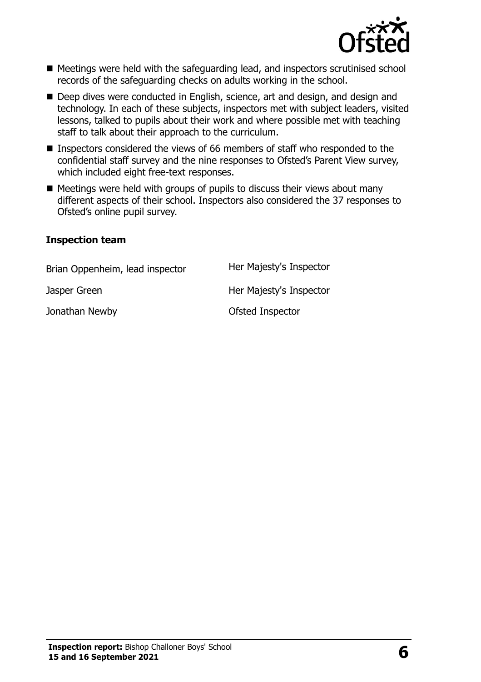

- Meetings were held with the safeguarding lead, and inspectors scrutinised school records of the safeguarding checks on adults working in the school.
- Deep dives were conducted in English, science, art and design, and design and technology. In each of these subjects, inspectors met with subject leaders, visited lessons, talked to pupils about their work and where possible met with teaching staff to talk about their approach to the curriculum.
- Inspectors considered the views of 66 members of staff who responded to the confidential staff survey and the nine responses to Ofsted's Parent View survey, which included eight free-text responses.
- $\blacksquare$  Meetings were held with groups of pupils to discuss their views about many different aspects of their school. Inspectors also considered the 37 responses to Ofsted's online pupil survey.

#### **Inspection team**

Brian Oppenheim, lead inspector Her Majesty's Inspector Jasper Green **Her Majesty's Inspector** Jonathan Newby **Constanting Constanting Constanting Constanting Constanting Constanting Constanting Constanting Constanting Constanting Constanting Constanting Constanting Constanting Constanting Constanting Constanting Co**